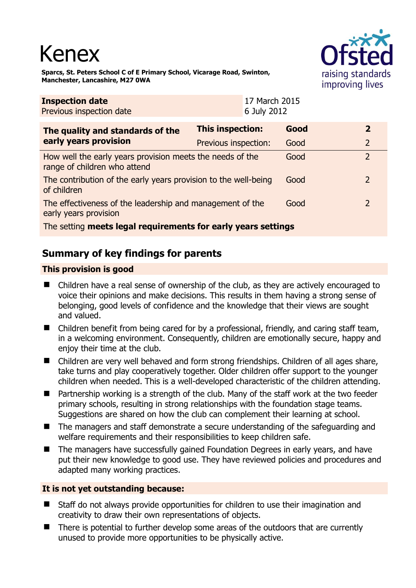# Kenex



**Sparcs, St. Peters School C of E Primary School, Vicarage Road, Swinton, Manchester, Lancashire, M27 0WA** 

| <b>Inspection date</b><br>Previous inspection date                                        |                         | 17 March 2015<br>6 July 2012 |      |                |  |
|-------------------------------------------------------------------------------------------|-------------------------|------------------------------|------|----------------|--|
| The quality and standards of the<br>early years provision                                 | <b>This inspection:</b> |                              | Good | 2              |  |
|                                                                                           | Previous inspection:    |                              | Good | $\overline{2}$ |  |
| How well the early years provision meets the needs of the<br>range of children who attend |                         |                              | Good | $\overline{2}$ |  |
| The contribution of the early years provision to the well-being<br>of children            |                         |                              | Good | $\overline{2}$ |  |
| The effectiveness of the leadership and management of the<br>early years provision        |                         |                              | Good | $\mathcal{L}$  |  |
| The setting meets legal requirements for early years settings                             |                         |                              |      |                |  |

## **Summary of key findings for parents**

### **This provision is good**

- Children have a real sense of ownership of the club, as they are actively encouraged to voice their opinions and make decisions. This results in them having a strong sense of belonging, good levels of confidence and the knowledge that their views are sought and valued.
- Children benefit from being cared for by a professional, friendly, and caring staff team, in a welcoming environment. Consequently, children are emotionally secure, happy and enjoy their time at the club.
- Children are very well behaved and form strong friendships. Children of all ages share, take turns and play cooperatively together. Older children offer support to the younger children when needed. This is a well-developed characteristic of the children attending.
- Partnership working is a strength of the club. Many of the staff work at the two feeder primary schools, resulting in strong relationships with the foundation stage teams. Suggestions are shared on how the club can complement their learning at school.
- The managers and staff demonstrate a secure understanding of the safeguarding and welfare requirements and their responsibilities to keep children safe.
- The managers have successfully gained Foundation Degrees in early years, and have put their new knowledge to good use. They have reviewed policies and procedures and adapted many working practices.

#### **It is not yet outstanding because:**

- Staff do not always provide opportunities for children to use their imagination and creativity to draw their own representations of objects.
- There is potential to further develop some areas of the outdoors that are currently unused to provide more opportunities to be physically active.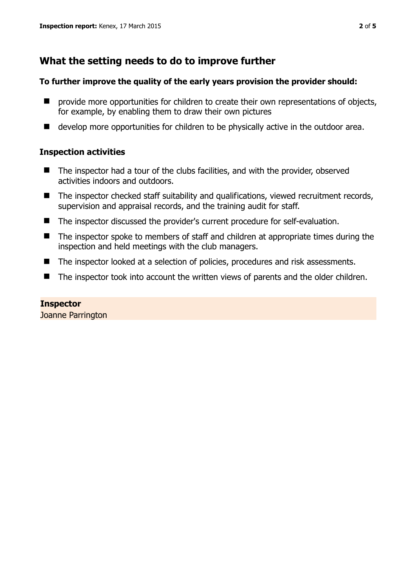## **What the setting needs to do to improve further**

#### **To further improve the quality of the early years provision the provider should:**

- **P** provide more opportunities for children to create their own representations of objects, for example, by enabling them to draw their own pictures
- develop more opportunities for children to be physically active in the outdoor area.

#### **Inspection activities**

- The inspector had a tour of the clubs facilities, and with the provider, observed activities indoors and outdoors.
- The inspector checked staff suitability and qualifications, viewed recruitment records, supervision and appraisal records, and the training audit for staff.
- The inspector discussed the provider's current procedure for self-evaluation.
- The inspector spoke to members of staff and children at appropriate times during the inspection and held meetings with the club managers.
- The inspector looked at a selection of policies, procedures and risk assessments.
- The inspector took into account the written views of parents and the older children.

#### **Inspector**

Joanne Parrington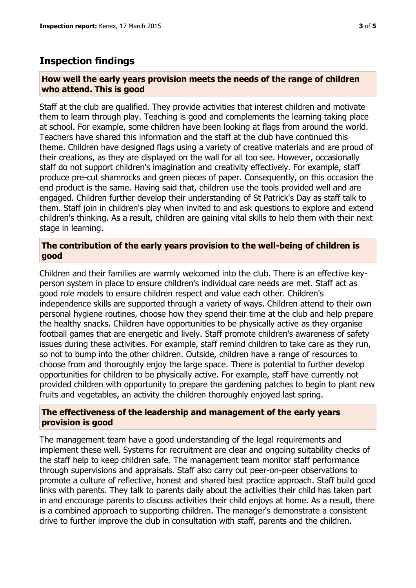## **Inspection findings**

#### **How well the early years provision meets the needs of the range of children who attend. This is good**

Staff at the club are qualified. They provide activities that interest children and motivate them to learn through play. Teaching is good and complements the learning taking place at school. For example, some children have been looking at flags from around the world. Teachers have shared this information and the staff at the club have continued this theme. Children have designed flags using a variety of creative materials and are proud of their creations, as they are displayed on the wall for all too see. However, occasionally staff do not support children's imagination and creativity effectively. For example, staff produce pre-cut shamrocks and green pieces of paper. Consequently, on this occasion the end product is the same. Having said that, children use the tools provided well and are engaged. Children further develop their understanding of St Patrick's Day as staff talk to them. Staff join in children's play when invited to and ask questions to explore and extend children's thinking. As a result, children are gaining vital skills to help them with their next stage in learning.

#### **The contribution of the early years provision to the well-being of children is good**

Children and their families are warmly welcomed into the club. There is an effective keyperson system in place to ensure children's individual care needs are met. Staff act as good role models to ensure children respect and value each other. Children's independence skills are supported through a variety of ways. Children attend to their own personal hygiene routines, choose how they spend their time at the club and help prepare the healthy snacks. Children have opportunities to be physically active as they organise football games that are energetic and lively. Staff promote children's awareness of safety issues during these activities. For example, staff remind children to take care as they run, so not to bump into the other children. Outside, children have a range of resources to choose from and thoroughly enjoy the large space. There is potential to further develop opportunities for children to be physically active. For example, staff have currently not provided children with opportunity to prepare the gardening patches to begin to plant new fruits and vegetables, an activity the children thoroughly enjoyed last spring.

#### **The effectiveness of the leadership and management of the early years provision is good**

The management team have a good understanding of the legal requirements and implement these well. Systems for recruitment are clear and ongoing suitability checks of the staff help to keep children safe. The management team monitor staff performance through supervisions and appraisals. Staff also carry out peer-on-peer observations to promote a culture of reflective, honest and shared best practice approach. Staff build good links with parents. They talk to parents daily about the activities their child has taken part in and encourage parents to discuss activities their child enjoys at home. As a result, there is a combined approach to supporting children. The manager's demonstrate a consistent drive to further improve the club in consultation with staff, parents and the children.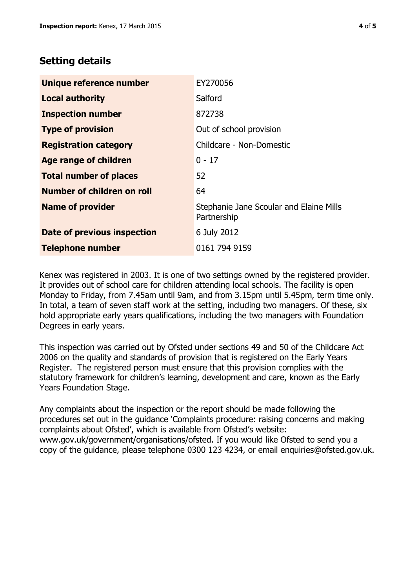## **Setting details**

| Unique reference number       | EY270056                                               |
|-------------------------------|--------------------------------------------------------|
| <b>Local authority</b>        | Salford                                                |
| <b>Inspection number</b>      | 872738                                                 |
| <b>Type of provision</b>      | Out of school provision                                |
| <b>Registration category</b>  | Childcare - Non-Domestic                               |
| Age range of children         | $0 - 17$                                               |
| <b>Total number of places</b> | 52                                                     |
| Number of children on roll    | 64                                                     |
| <b>Name of provider</b>       | Stephanie Jane Scoular and Elaine Mills<br>Partnership |
| Date of previous inspection   | 6 July 2012                                            |
| <b>Telephone number</b>       | 0161 794 9159                                          |

Kenex was registered in 2003. It is one of two settings owned by the registered provider. It provides out of school care for children attending local schools. The facility is open Monday to Friday, from 7.45am until 9am, and from 3.15pm until 5.45pm, term time only. In total, a team of seven staff work at the setting, including two managers. Of these, six hold appropriate early years qualifications, including the two managers with Foundation Degrees in early years.

This inspection was carried out by Ofsted under sections 49 and 50 of the Childcare Act 2006 on the quality and standards of provision that is registered on the Early Years Register. The registered person must ensure that this provision complies with the statutory framework for children's learning, development and care, known as the Early Years Foundation Stage.

Any complaints about the inspection or the report should be made following the procedures set out in the guidance 'Complaints procedure: raising concerns and making complaints about Ofsted', which is available from Ofsted's website: www.gov.uk/government/organisations/ofsted. If you would like Ofsted to send you a copy of the guidance, please telephone 0300 123 4234, or email enquiries@ofsted.gov.uk.